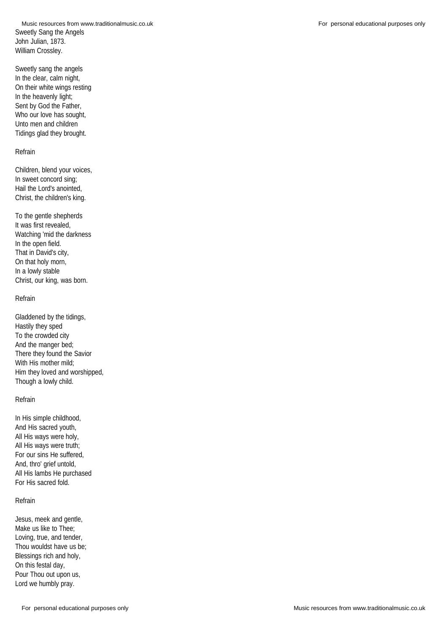Sweetly Sang the Angels John Julian, 1873. William Crossley. Music resources from www.traditionalmusic.co.uk **For personal educational purposes only** For personal educational purposes only

Sweetly sang the angels In the clear, calm night, On their white wings resting In the heavenly light; Sent by God the Father, Who our love has sought, Unto men and children Tidings glad they brought.

## Refrain

Children, blend your voices, In sweet concord sing; Hail the Lord's anointed, Christ, the children's king.

To the gentle shepherds It was first revealed, Watching 'mid the darkness In the open field. That in David's city, On that holy morn, In a lowly stable Christ, our king, was born.

## Refrain

Gladdened by the tidings, Hastily they sped To the crowded city And the manger bed; There they found the Savior With His mother mild; Him they loved and worshipped, Though a lowly child.

## Refrain

In His simple childhood, And His sacred youth, All His ways were holy, All His ways were truth; For our sins He suffered, And, thro' grief untold, All His lambs He purchased For His sacred fold.

## Refrain

Jesus, meek and gentle, Make us like to Thee; Loving, true, and tender, Thou wouldst have us be; Blessings rich and holy, On this festal day, Pour Thou out upon us, Lord we humbly pray.